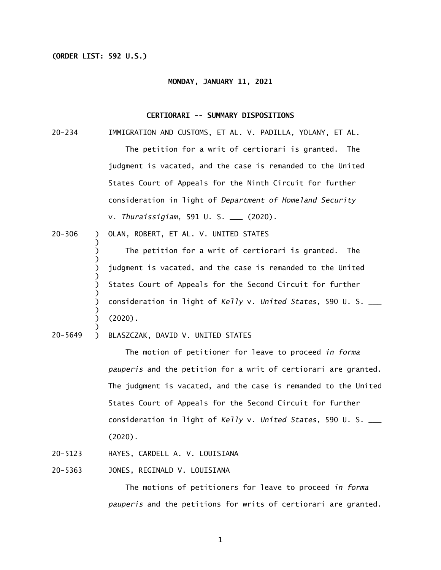## **(ORDER LIST: 592 U.S.)**

)

) ) )

)

#### **MONDAY, JANUARY 11, 2021**

### **CERTIORARI -- SUMMARY DISPOSITIONS**

- $20 234$ IMMIGRATION AND CUSTOMS, ET AL. V. PADILLA, YOLANY, ET AL. The petition for a writ of certiorari is granted. The judgment is vacated, and the case is remanded to the United States Court of Appeals for the Ninth Circuit for further consideration in light of *Department of Homeland Security*  v. *Thuraissigiam*, 591 U. S. \_\_\_ (2020).
- 20-306  $\mathcal{L}$

) ) ) ) ) ) ) OLAN, ROBERT, ET AL. V. UNITED STATES<br>)<br>) The petition for a writ of certior<br>)<br>) judgment is vacated, and the case is r<br>)<br>States Court of Appeals for the Second<br>) consideration in light of *Kelly* v. *Uni*<br>)<br>(2020).<br>) BL The petition for a writ of certiorari is granted. The judgment is vacated, and the case is remanded to the United States Court of Appeals for the Second Circuit for further consideration in light of *Kelly* v. *United States*, 590 U. S. \_\_\_ (2020).

 $\mathcal{L}$ 20-5649 BLASZCZAK, DAVID V. UNITED STATES

> The motion of petitioner for leave to proceed *in forma pauperis* and the petition for a writ of certiorari are granted. The judgment is vacated, and the case is remanded to the United States Court of Appeals for the Second Circuit for further consideration in light of *Kelly* v. *United States*, 590 U. S. \_\_\_ (2020).

- 20-5123 HAYES, CARDELL A. V. LOUISIANA
- 20-5363 JONES, REGINALD V. LOUISIANA

 The motions of petitioners for leave to proceed *in forma pauperis* and the petitions for writs of certiorari are granted.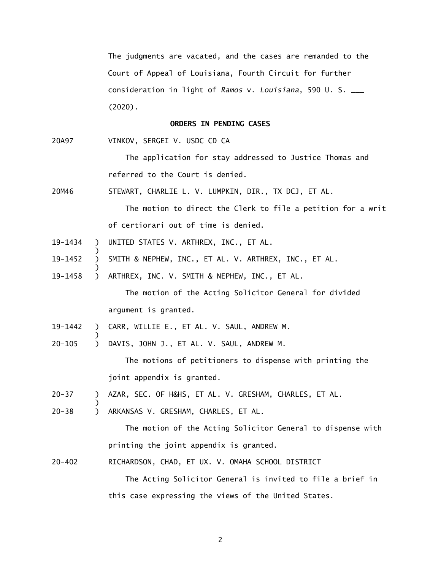consideration in light of *Ramos* v. *Louisiana*, 590 U. S. \_\_\_ The judgments are vacated, and the cases are remanded to the Court of Appeal of Louisiana, Fourth Circuit for further (2020).

#### **ORDERS IN PENDING CASES**

20A97 VINKOV, SERGEI V. USDC CD CA

> The application for stay addressed to Justice Thomas and referred to the Court is denied.

20M46 STEWART, CHARLIE L. V. LUMPKIN, DIR., TX DCJ, ET AL.

> The motion to direct the Clerk to file a petition for a writ of certiorari out of time is denied.

- UNITED STATES V. ARTHREX, INC., ET AL. 19-1434 ) )
- ) ) ) UNITED STATES V. ARTHREX, INC., ET AL.<br>)<br>) SMITH & NEPHEW, INC., ET AL. V. ARTHREX, INC.,<br>)<br>) ARTHREX, INC. V. SMITH & NEPHEW, INC., ET AL. 19-1452 SMITH & NEPHEW, INC., ET AL. V. ARTHREX, INC., ET AL.
- 19-1458

 The motion of the Acting Solicitor General for divided argument is granted.

- ) ) CARR, WILLIE E., ET AL. V. SAUL, ANDREW M. 19-1442
- 20-105 ) DAVIS, JOHN J., ET AL. V. SAUL, ANDREW M.

The motions of petitioners to dispense with printing the joint appendix is granted.

- 20-37 ) AZAR, SEC. OF H&HS, ET AL. V. GRESHAM, CHARLES, ET AL.
- 20-38 ) ARKANSAS V. GRESHAM, CHARLES, ET AL.

)

 The motion of the Acting Solicitor General to dispense with printing the joint appendix is granted.

 $20 - 402$ 20-402 RICHARDSON, CHAD, ET UX. V. OMAHA SCHOOL DISTRICT

> The Acting Solicitor General is invited to file a brief in this case expressing the views of the United States.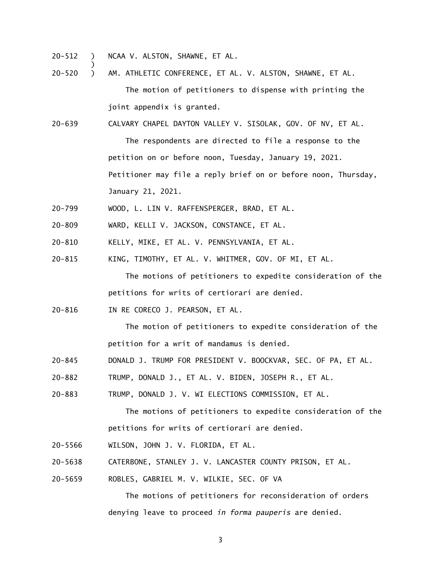$20 - 512$ ) NCAA V. ALSTON, SHAWNE, ET AL.

)

- $20 520$ ) AM. ATHLETIC CONFERENCE, ET AL. V. ALSTON, SHAWNE, ET AL. The motion of petitioners to dispense with printing the joint appendix is granted.
- $20 639$ CALVARY CHAPEL DAYTON VALLEY V. SISOLAK, GOV. OF NV, ET AL.

 The respondents are directed to file a response to the petition on or before noon, Tuesday, January 19, 2021. Petitioner may file a reply brief on or before noon, Thursday, January 21, 2021.

- $20 799$ WOOD, L. LIN V. RAFFENSPERGER, BRAD, ET AL.
- $20 809$ WARD, KELLI V. JACKSON, CONSTANCE, ET AL.
- $20 810$ KELLY, MIKE, ET AL. V. PENNSYLVANIA, ET AL.
- $20 815$ KING, TIMOTHY, ET AL. V. WHITMER, GOV. OF MI, ET AL.

 The motions of petitioners to expedite consideration of the petitions for writs of certiorari are denied.

 $20 - 816$ IN RE CORECO J. PEARSON, ET AL.

> The motion of petitioners to expedite consideration of the petition for a writ of mandamus is denied.

- 20-845 DONALD J. TRUMP FOR PRESIDENT V. BOOCKVAR, SEC. OF PA, ET AL.
- $20 882$ TRUMP, DONALD J., ET AL. V. BIDEN, JOSEPH R., ET AL.

 $20 - 883$ TRUMP, DONALD J. V. WI ELECTIONS COMMISSION, ET AL.

> The motions of petitioners to expedite consideration of the petitions for writs of certiorari are denied.

- 20-5566 WILSON, JOHN J. V. FLORIDA, ET AL.
- 20-5638 CATERBONE, STANLEY J. V. LANCASTER COUNTY PRISON, ET AL.
- 20-5659 ROBLES, GABRIEL M. V. WILKIE, SEC. OF VA

 The motions of petitioners for reconsideration of orders denying leave to proceed *in forma pauperis* are denied.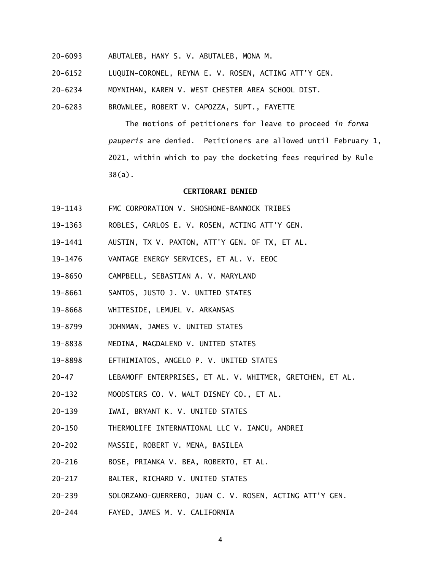- 20-6093 ABUTALEB, HANY S. V. ABUTALEB, MONA M.
- 20-6152 LUQUIN-CORONEL, REYNA E. V. ROSEN, ACTING ATT'Y GEN.
- 20-6234 MOYNIHAN, KAREN V. WEST CHESTER AREA SCHOOL DIST.
- 20-6283 BROWNLEE, ROBERT V. CAPOZZA, SUPT., FAYETTE

 The motions of petitioners for leave to proceed *in forma pauperis* are denied. Petitioners are allowed until February 1, 2021, within which to pay the docketing fees required by Rule 38(a).

## **CERTIORARI DENIED**

- 19-1143 FMC CORPORATION V. SHOSHONE-BANNOCK TRIBES
- 19-1363 ROBLES, CARLOS E. V. ROSEN, ACTING ATT'Y GEN.
- 19-1441 AUSTIN, TX V. PAXTON, ATT'Y GEN. OF TX, ET AL.
- 19-1476 VANTAGE ENERGY SERVICES, ET AL. V. EEOC
- 19-8650 CAMPBELL, SEBASTIAN A. V. MARYLAND
- 19-8661 SANTOS, JUSTO J. V. UNITED STATES
- 19-8668 WHITESIDE, LEMUEL V. ARKANSAS
- 19-8799 JOHNMAN, JAMES V. UNITED STATES
- 19-8838 MEDINA, MAGDALENO V. UNITED STATES
- 19-8898 EFTHIMIATOS, ANGELO P. V. UNITED STATES
- $20 47$ LEBAMOFF ENTERPRISES, ET AL. V. WHITMER, GRETCHEN, ET AL.
- $20 132$ MOODSTERS CO. V. WALT DISNEY CO., ET AL.
- $20 139$ IWAI, BRYANT K. V. UNITED STATES
- $20 150$ THERMOLIFE INTERNATIONAL LLC V. IANCU, ANDREI
- $20 202$ MASSIE, ROBERT V. MENA, BASILEA
- $20 216$ 20-216 BOSE, PRIANKA V. BEA, ROBERTO, ET AL.
- $20 217$ 20-217 BALTER, RICHARD V. UNITED STATES
- $20 239$ 20-239 SOLORZANO-GUERRERO, JUAN C. V. ROSEN, ACTING ATT'Y GEN.
- 20-244 FAYED, JAMES M. V. CALIFORNIA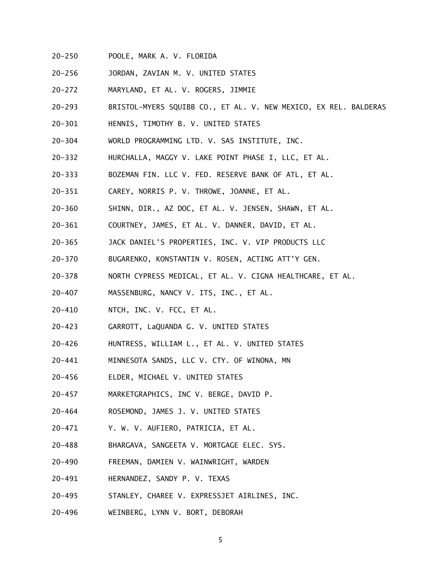- $20 250$ 20-250 POOLE, MARK A. V. FLORIDA
- $20 256$ 20-256 JORDAN, ZAVIAN M. V. UNITED STATES
- $20 272$ 20-272 MARYLAND, ET AL. V. ROGERS, JIMMIE
- $20 293$ BRISTOL-MYERS SQUIBB CO., ET AL. V. NEW MEXICO, EX REL. BALDERAS
- $20 301$ 20-301 HENNIS, TIMOTHY B. V. UNITED STATES
- $20 304$ WORLD PROGRAMMING LTD. V. SAS INSTITUTE, INC.
- $20 332$ 20-332 HURCHALLA, MAGGY V. LAKE POINT PHASE I, LLC, ET AL.
- $20 333$ BOZEMAN FIN. LLC V. FED. RESERVE BANK OF ATL, ET AL.
- $20 351$ CAREY, NORRIS P. V. THROWE, JOANNE, ET AL.
- $20 360$ SHINN, DIR., AZ DOC, ET AL. V. JENSEN, SHAWN, ET AL.
- $20 361$ COURTNEY, JAMES, ET AL. V. DANNER, DAVID, ET AL.
- $20 365$ JACK DANIEL'S PROPERTIES, INC. V. VIP PRODUCTS LLC
- $20 370$ 20-370 BUGARENKO, KONSTANTIN V. ROSEN, ACTING ATT'Y GEN.
- $20 378$ 20-378 NORTH CYPRESS MEDICAL, ET AL. V. CIGNA HEALTHCARE, ET AL.
- $20 407$ MASSENBURG, NANCY V. ITS, INC., ET AL.
- $20 410$ NTCH, INC. V. FCC, ET AL.
- $20 423$ GARROTT, LaQUANDA G. V. UNITED STATES
- $20 426$ 20-426 HUNTRESS, WILLIAM L., ET AL. V. UNITED STATES
- $20 441$ MINNESOTA SANDS, LLC V. CTY. OF WINONA, MN
- $20 456$ 20-456 ELDER, MICHAEL V. UNITED STATES
- $20 457$ MARKETGRAPHICS, INC V. BERGE, DAVID P.
- $20 464$ 20-464 ROSEMOND, JAMES J. V. UNITED STATES
- $20 471$ Y. W. V. AUFIERO, PATRICIA, ET AL.
- $20 488$ BHARGAVA, SANGEETA V. MORTGAGE ELEC. SYS.
- $20 490$ 20-490 FREEMAN, DAMIEN V. WAINWRIGHT, WARDEN
- $20 491$ HERNANDEZ, SANDY P. V. TEXAS
- $20 495$ STANLEY, CHAREE V. EXPRESSJET AIRLINES, INC.
- 20-496 WEINBERG, LYNN V. BORT, DEBORAH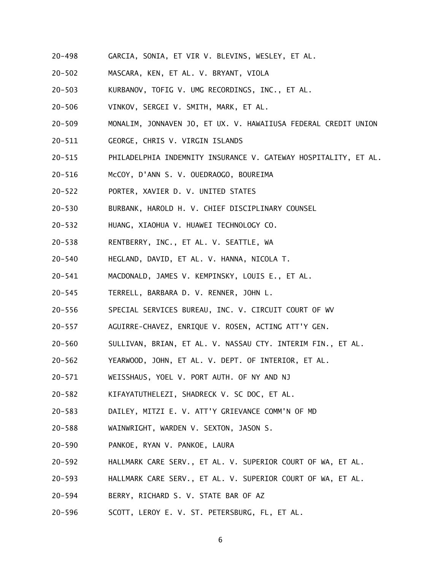- $20 498$ GARCIA, SONIA, ET VIR V. BLEVINS, WESLEY, ET AL.
- $20 502$ 20-502 MASCARA, KEN, ET AL. V. BRYANT, VIOLA
- $20 503$ KURBANOV, TOFIG V. UMG RECORDINGS, INC., ET AL.
- $20 506$ VINKOV, SERGEI V. SMITH, MARK, ET AL.
- $20 509$ 20-509 MONALIM, JONNAVEN JO, ET UX. V. HAWAIIUSA FEDERAL CREDIT UNION
- $20 511$ GEORGE, CHRIS V. VIRGIN ISLANDS
- $20 515$ PHILADELPHIA INDEMNITY INSURANCE V. GATEWAY HOSPITALITY, ET AL.
- $20 516$ McCOY, D'ANN S. V. OUEDRAOGO, BOUREIMA
- $20 522$ 20-522 PORTER, XAVIER D. V. UNITED STATES
- $20 530$ 20-530 BURBANK, HAROLD H. V. CHIEF DISCIPLINARY COUNSEL
- $20 532$ 20-532 HUANG, XIAOHUA V. HUAWEI TECHNOLOGY CO.
- $20 538$ RENTBERRY, INC., ET AL. V. SEATTLE, WA
- $20 540$ HEGLAND, DAVID, ET AL. V. HANNA, NICOLA T.
- $20 541$ MACDONALD, JAMES V. KEMPINSKY, LOUIS E., ET AL.
- $20 545$ 20-545 TERRELL, BARBARA D. V. RENNER, JOHN L.
- $20 556$ SPECIAL SERVICES BUREAU, INC. V. CIRCUIT COURT OF WV
- $20 557$ AGUIRRE-CHAVEZ, ENRIQUE V. ROSEN, ACTING ATT'Y GEN.
- $20 560$ SULLIVAN, BRIAN, ET AL. V. NASSAU CTY. INTERIM FIN., ET AL.
- $20 562$ YEARWOOD, JOHN, ET AL. V. DEPT. OF INTERIOR, ET AL.
- $20 571$ WEISSHAUS, YOEL V. PORT AUTH. OF NY AND NJ
- $20 582$ KIFAYATUTHELEZI, SHADRECK V. SC DOC, ET AL.
- $20 583$ 20-583 DAILEY, MITZI E. V. ATT'Y GRIEVANCE COMM'N OF MD
- $20 588$ WAINWRIGHT, WARDEN V. SEXTON, JASON S.
- $20 590$ PANKOE, RYAN V. PANKOE, LAURA
- $20 592$ 20-592 HALLMARK CARE SERV., ET AL. V. SUPERIOR COURT OF WA, ET AL.
- $20 593$ 20-593 HALLMARK CARE SERV., ET AL. V. SUPERIOR COURT OF WA, ET AL.
- $20 594$ BERRY, RICHARD S. V. STATE BAR OF AZ
- $20 596$ SCOTT, LEROY E. V. ST. PETERSBURG, FL, ET AL.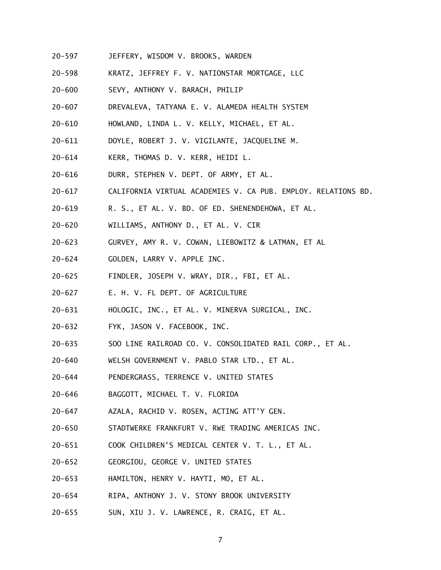- $20 597$ JEFFERY, WISDOM V. BROOKS, WARDEN
- $20 598$ KRATZ, JEFFREY F. V. NATIONSTAR MORTGAGE, LLC
- $20 600$ SEVY, ANTHONY V. BARACH, PHILIP
- $20 607$ DREVALEVA, TATYANA E. V. ALAMEDA HEALTH SYSTEM
- $20 610$ HOWLAND, LINDA L. V. KELLY, MICHAEL, ET AL.
- $20 611$ 20-611 DOYLE, ROBERT J. V. VIGILANTE, JACQUELINE M.
- $20 614$ KERR, THOMAS D. V. KERR, HEIDI L.
- $20 616$ DURR, STEPHEN V. DEPT. OF ARMY, ET AL.
- $20 617$ 20-617 CALIFORNIA VIRTUAL ACADEMIES V. CA PUB. EMPLOY. RELATIONS BD.
- $20 619$ R. S., ET AL. V. BD. OF ED. SHENENDEHOWA, ET AL.
- $20 620$ WILLIAMS, ANTHONY D., ET AL. V. CIR
- $20 623$ 20-623 GURVEY, AMY R. V. COWAN, LIEBOWITZ & LATMAN, ET AL
- $20 624$ 20-624 GOLDEN, LARRY V. APPLE INC.
- $20 625$ FINDLER, JOSEPH V. WRAY, DIR., FBI, ET AL.
- $20 627$ E. H. V. FL DEPT. OF AGRICULTURE
- $20 631$ HOLOGIC, INC., ET AL. V. MINERVA SURGICAL, INC.
- $20 632$ FYK, JASON V. FACEBOOK, INC.
- $20 635$ 20-635 SOO LINE RAILROAD CO. V. CONSOLIDATED RAIL CORP., ET AL.
- $20 640$ WELSH GOVERNMENT V. PABLO STAR LTD., ET AL.
- $20 644$ PENDERGRASS, TERRENCE V. UNITED STATES
- $20 646$ 20-646 BAGGOTT, MICHAEL T. V. FLORIDA
- $20 647$ AZALA, RACHID V. ROSEN, ACTING ATT'Y GEN.
- $20 650$ STADTWERKE FRANKFURT V. RWE TRADING AMERICAS INC.
- $20 651$ 20-651 COOK CHILDREN'S MEDICAL CENTER V. T. L., ET AL.
- $20 652$ 20-652 GEORGIOU, GEORGE V. UNITED STATES
- $20 653$ HAMILTON, HENRY V. HAYTI, MO, ET AL.
- $20 654$ RIPA, ANTHONY J. V. STONY BROOK UNIVERSITY
- $20 655$ SUN, XIU J. V. LAWRENCE, R. CRAIG, ET AL.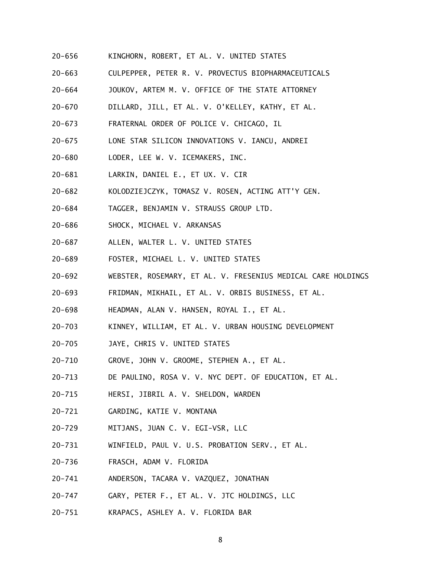- $20 656$ KINGHORN, ROBERT, ET AL. V. UNITED STATES
- $20 663$ 20-663 CULPEPPER, PETER R. V. PROVECTUS BIOPHARMACEUTICALS
- $20 664$ JOUKOV, ARTEM M. V. OFFICE OF THE STATE ATTORNEY
- $20 670$ 20-670 DILLARD, JILL, ET AL. V. O'KELLEY, KATHY, ET AL.
- $20 673$ 20-673 FRATERNAL ORDER OF POLICE V. CHICAGO, IL
- $20 675$ LONE STAR SILICON INNOVATIONS V. IANCU, ANDREI
- $20 680$ LODER, LEE W. V. ICEMAKERS, INC.
- $20 681$ LARKIN, DANIEL E., ET UX. V. CIR
- $20 682$ KOLODZIEJCZYK, TOMASZ V. ROSEN, ACTING ATT'Y GEN.
- $20 684$ 20-684 TAGGER, BENJAMIN V. STRAUSS GROUP LTD.
- $20 686$ SHOCK, MICHAEL V. ARKANSAS
- $20 687$ ALLEN, WALTER L. V. UNITED STATES
- $20 689$ 20-689 FOSTER, MICHAEL L. V. UNITED STATES
- $20 692$ 20-692 WEBSTER, ROSEMARY, ET AL. V. FRESENIUS MEDICAL CARE HOLDINGS
- $20 693$ 20-693 FRIDMAN, MIKHAIL, ET AL. V. ORBIS BUSINESS, ET AL.
- $20 698$ HEADMAN, ALAN V. HANSEN, ROYAL I., ET AL.
- $20 703$ KINNEY, WILLIAM, ET AL. V. URBAN HOUSING DEVELOPMENT
- $20 705$ JAYE, CHRIS V. UNITED STATES
- $20 710$ GROVE, JOHN V. GROOME, STEPHEN A., ET AL.
- $20 713$ DE PAULINO, ROSA V. V. NYC DEPT. OF EDUCATION, ET AL.
- $20 715$ 20-715 HERSI, JIBRIL A. V. SHELDON, WARDEN
- $20 721$ GARDING, KATIE V. MONTANA
- $20 729$ MITJANS, JUAN C. V. EGI-VSR, LLC
- $20 731$ WINFIELD, PAUL V. U.S. PROBATION SERV., ET AL.
- $20 736$ 20-736 FRASCH, ADAM V. FLORIDA
- $20 741$ ANDERSON, TACARA V. VAZQUEZ, JONATHAN
- $20 747$ 20-747 GARY, PETER F., ET AL. V. JTC HOLDINGS, LLC
- 20-751 KRAPACS, ASHLEY A. V. FLORIDA BAR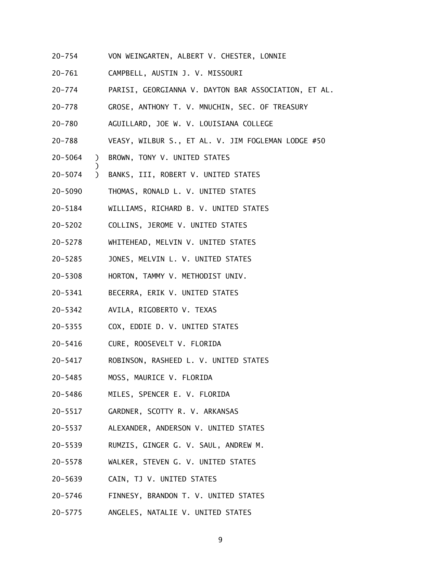- $20 754$ VON WEINGARTEN, ALBERT V. CHESTER, LONNIE
- $20 761$ 20-761 CAMPBELL, AUSTIN J. V. MISSOURI
- $20 774$ PARISI, GEORGIANNA V. DAYTON BAR ASSOCIATION, ET AL.
- $20 778$ GROSE, ANTHONY T. V. MNUCHIN, SEC. OF TREASURY
- $20 780$ AGUILLARD, JOE W. V. LOUISIANA COLLEGE
- $20 788$ VEASY, WILBUR S., ET AL. V. JIM FOGLEMAN LODGE #50
- 20-5064 ) BROWN, TONY V. UNITED STATES

)

- 20-5074 ) BANKS, III, ROBERT V. UNITED STATES
- 20-5090 THOMAS, RONALD L. V. UNITED STATES
- 20-5184 WILLIAMS, RICHARD B. V. UNITED STATES
- 20-5202 20-5202 COLLINS, JEROME V. UNITED STATES
- 20-5278 WHITEHEAD, MELVIN V. UNITED STATES
- $20 5285$ JONES, MELVIN L. V. UNITED STATES
- 20-5308 HORTON, TAMMY V. METHODIST UNIV.
- $20 5341$ BECERRA, ERIK V. UNITED STATES
- 20-5342 AVILA, RIGOBERTO V. TEXAS
- 20-5355 COX, EDDIE D. V. UNITED STATES
- 20-5416 CURE, ROOSEVELT V. FLORIDA
- 20-5417 20-5417 ROBINSON, RASHEED L. V. UNITED STATES
- $20 5485$ MOSS, MAURICE V. FLORIDA
- 20-5486 MILES, SPENCER E. V. FLORIDA
- 20-5517 GARDNER, SCOTTY R. V. ARKANSAS
- $20 5537$ ALEXANDER, ANDERSON V. UNITED STATES
- 20-5539 RUMZIS, GINGER G. V. SAUL, ANDREW M.
- 20-5578 WALKER, STEVEN G. V. UNITED STATES
- 20-5639 CAIN, TJ V. UNITED STATES
- 20-5746 20-5746 FINNESY, BRANDON T. V. UNITED STATES
- 20–5775 ANGELES, NATALIE V. UNITED STATES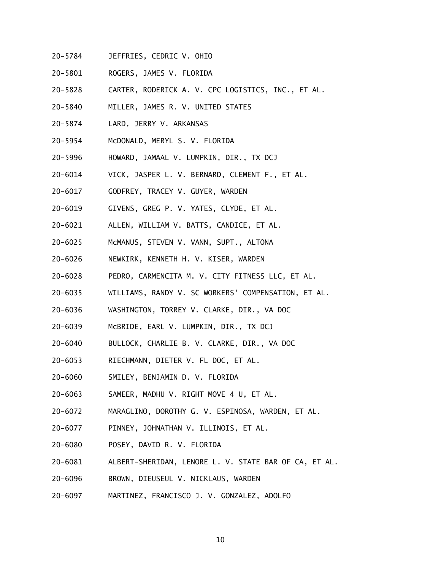- 20-5784 JEFFRIES, CEDRIC V. OHIO
- 20-5801 ROGERS, JAMES V. FLORIDA
- 20-5828 CARTER, RODERICK A. V. CPC LOGISTICS, INC., ET AL.
- 20-5840 MILLER, JAMES R. V. UNITED STATES
- 20-5874 LARD, JERRY V. ARKANSAS
- 20-5954 McDONALD, MERYL S. V. FLORIDA
- 20-5996 HOWARD, JAMAAL V. LUMPKIN, DIR., TX DCJ
- 20-6014 VICK, JASPER L. V. BERNARD, CLEMENT F., ET AL.
- 20-6017 GODFREY, TRACEY V. GUYER, WARDEN
- 20-6019 GIVENS, GREG P. V. YATES, CLYDE, ET AL.
- 20-6021 ALLEN, WILLIAM V. BATTS, CANDICE, ET AL.
- 20-6025 McMANUS, STEVEN V. VANN, SUPT., ALTONA
- 20-6026 NEWKIRK, KENNETH H. V. KISER, WARDEN
- 20-6028 PEDRO, CARMENCITA M. V. CITY FITNESS LLC, ET AL.
- 20-6035 WILLIAMS, RANDY V. SC WORKERS' COMPENSATION, ET AL.
- 20-6036 WASHINGTON, TORREY V. CLARKE, DIR., VA DOC
- 20-6039 McBRIDE, EARL V. LUMPKIN, DIR., TX DCJ
- 20-6040 BULLOCK, CHARLIE B. V. CLARKE, DIR., VA DOC
- 20-6053 RIECHMANN, DIETER V. FL DOC, ET AL.
- 20-6060 SMILEY, BENJAMIN D. V. FLORIDA
- 20-6063 SAMEER, MADHU V. RIGHT MOVE 4 U, ET AL.
- 20-6072 MARAGLINO, DOROTHY G. V. ESPINOSA, WARDEN, ET AL.
- 20-6077 PINNEY, JOHNATHAN V. ILLINOIS, ET AL.
- 20-6080 POSEY, DAVID R. V. FLORIDA
- 20-6081 ALBERT-SHERIDAN, LENORE L. V. STATE BAR OF CA, ET AL.
- 20-6096 BROWN, DIEUSEUL V. NICKLAUS, WARDEN
- 20-6097 MARTINEZ, FRANCISCO J. V. GONZALEZ, ADOLFO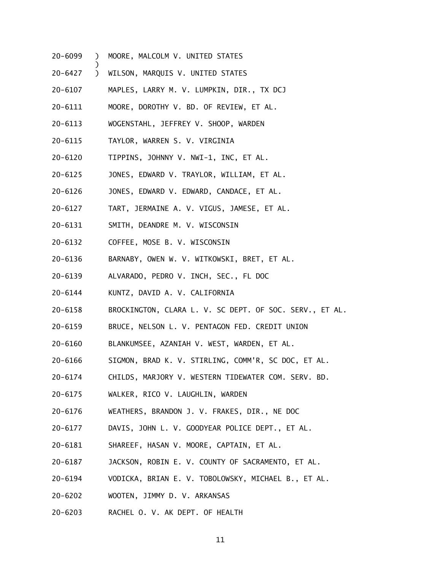20-6099 ) MOORE, MALCOLM V. UNITED STATES

)

- $\mathcal{L}$ 20-6427 ) WILSON, MARQUIS V. UNITED STATES
- 20-6107 MAPLES, LARRY M. V. LUMPKIN, DIR., TX DCJ
- 20-6111 MOORE, DOROTHY V. BD. OF REVIEW, ET AL.
- 20-6113 WOGENSTAHL, JEFFREY V. SHOOP, WARDEN
- 20-6115 TAYLOR, WARREN S. V. VIRGINIA
- 20-6120 TIPPINS, JOHNNY V. NWI-1, INC, ET AL.
- 20-6125 JONES, EDWARD V. TRAYLOR, WILLIAM, ET AL.
- 20-6126 JONES, EDWARD V. EDWARD, CANDACE, ET AL.
- 20-6127 TART, JERMAINE A. V. VIGUS, JAMESE, ET AL.
- 20-6131 SMITH, DEANDRE M. V. WISCONSIN
- 20-6132 COFFEE, MOSE B. V. WISCONSIN
- 20-6136 BARNABY, OWEN W. V. WITKOWSKI, BRET, ET AL.
- 20-6139 ALVARADO, PEDRO V. INCH, SEC., FL DOC
- 20-6144 KUNTZ, DAVID A. V. CALIFORNIA
- 20-6158 BROCKINGTON, CLARA L. V. SC DEPT. OF SOC. SERV., ET AL.
- 20-6159 BRUCE, NELSON L. V. PENTAGON FED. CREDIT UNION
- 20-6160 BLANKUMSEE, AZANIAH V. WEST, WARDEN, ET AL.
- 20-6166 SIGMON, BRAD K. V. STIRLING, COMM'R, SC DOC, ET AL.
- 20-6174 CHILDS, MARJORY V. WESTERN TIDEWATER COM. SERV. BD.
- 20-6175 WALKER, RICO V. LAUGHLIN, WARDEN
- 20-6176 WEATHERS, BRANDON J. V. FRAKES, DIR., NE DOC
- 20-6177 DAVIS, JOHN L. V. GOODYEAR POLICE DEPT., ET AL.
- 20-6181 SHAREEF, HASAN V. MOORE, CAPTAIN, ET AL.
- 20-6187 JACKSON, ROBIN E. V. COUNTY OF SACRAMENTO, ET AL.
- 20-6194 VODICKA, BRIAN E. V. TOBOLOWSKY, MICHAEL B., ET AL.
- 20-6202 WOOTEN, JIMMY D. V. ARKANSAS
- 20-6203 RACHEL O. V. AK DEPT. OF HEALTH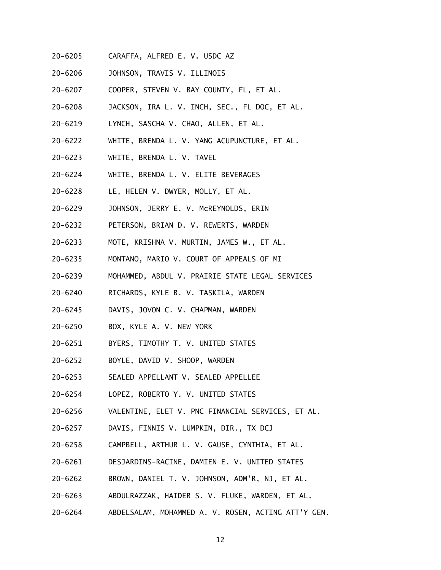- 20-6205 CARAFFA, ALFRED E. V. USDC AZ
- 20-6206 JOHNSON, TRAVIS V. ILLINOIS
- 20-6207 COOPER, STEVEN V. BAY COUNTY, FL, ET AL.
- 20-6208 JACKSON, IRA L. V. INCH, SEC., FL DOC, ET AL.
- 20-6219 LYNCH, SASCHA V. CHAO, ALLEN, ET AL.
- 20-6222 WHITE, BRENDA L. V. YANG ACUPUNCTURE, ET AL.
- 20-6223 WHITE, BRENDA L. V. TAVEL
- 20-6224 WHITE, BRENDA L. V. ELITE BEVERAGES
- 20-6228 LE, HELEN V. DWYER, MOLLY, ET AL.
- 20-6229 JOHNSON, JERRY E. V. McREYNOLDS, ERIN
- 20-6232 PETERSON, BRIAN D. V. REWERTS, WARDEN
- 20-6233 MOTE, KRISHNA V. MURTIN, JAMES W., ET AL.
- 20-6235 MONTANO, MARIO V. COURT OF APPEALS OF MI
- 20-6239 MOHAMMED, ABDUL V. PRAIRIE STATE LEGAL SERVICES
- 20-6240 RICHARDS, KYLE B. V. TASKILA, WARDEN
- 20-6245 DAVIS, JOVON C. V. CHAPMAN, WARDEN
- 20-6250 BOX, KYLE A. V. NEW YORK
- 20-6251 BYERS, TIMOTHY T. V. UNITED STATES
- 20-6252 BOYLE, DAVID V. SHOOP, WARDEN
- 20-6253 SEALED APPELLANT V. SEALED APPELLEE
- 20-6254 LOPEZ, ROBERTO Y. V. UNITED STATES
- 20-6256 VALENTINE, ELET V. PNC FINANCIAL SERVICES, ET AL.
- 20-6257 DAVIS, FINNIS V. LUMPKIN, DIR., TX DCJ
- 20-6258 CAMPBELL, ARTHUR L. V. GAUSE, CYNTHIA, ET AL.
- 20-6261 DESJARDINS-RACINE, DAMIEN E. V. UNITED STATES
- 20-6262 BROWN, DANIEL T. V. JOHNSON, ADM'R, NJ, ET AL.
- 20-6263 ABDULRAZZAK, HAIDER S. V. FLUKE, WARDEN, ET AL.
- 20-6264 ABDELSALAM, MOHAMMED A. V. ROSEN, ACTING ATT'Y GEN.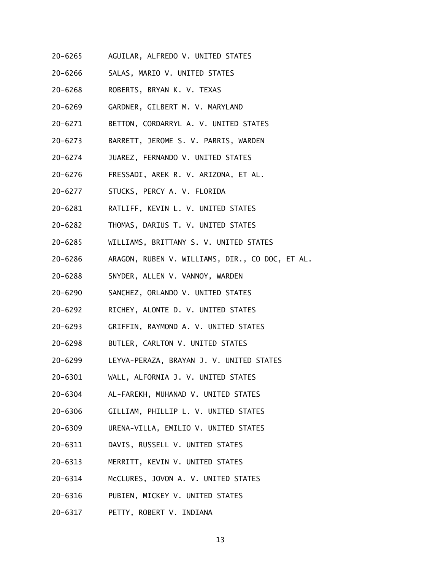- 20-6265 AGUILAR, ALFREDO V. UNITED STATES
- 20-6266 SALAS, MARIO V. UNITED STATES
- 20-6268 ROBERTS, BRYAN K. V. TEXAS
- 20-6269 GARDNER, GILBERT M. V. MARYLAND
- 20-6271 BETTON, CORDARRYL A. V. UNITED STATES
- 20-6273 BARRETT, JEROME S. V. PARRIS, WARDEN
- 20-6274 JUAREZ, FERNANDO V. UNITED STATES
- 20-6276 FRESSADI, AREK R. V. ARIZONA, ET AL.
- 20-6277 STUCKS, PERCY A. V. FLORIDA
- 20-6281 RATLIFF, KEVIN L. V. UNITED STATES
- 20-6282 THOMAS, DARIUS T. V. UNITED STATES
- 20-6285 WILLIAMS, BRITTANY S. V. UNITED STATES
- 20-6286 ARAGON, RUBEN V. WILLIAMS, DIR., CO DOC, ET AL.
- 20-6288 SNYDER, ALLEN V. VANNOY, WARDEN
- 20-6290 SANCHEZ, ORLANDO V. UNITED STATES
- 20-6292 RICHEY, ALONTE D. V. UNITED STATES
- 20-6293 GRIFFIN, RAYMOND A. V. UNITED STATES
- 20-6298 BUTLER, CARLTON V. UNITED STATES
- 20-6299 LEYVA-PERAZA, BRAYAN J. V. UNITED STATES
- 20-6301 WALL, ALFORNIA J. V. UNITED STATES
- 20-6304 AL-FAREKH, MUHANAD V. UNITED STATES
- 20-6306 GILLIAM, PHILLIP L. V. UNITED STATES
- 20-6309 URENA-VILLA, EMILIO V. UNITED STATES
- 20-6311 DAVIS, RUSSELL V. UNITED STATES
- 20-6313 MERRITT, KEVIN V. UNITED STATES
- 20-6314 McCLURES, JOVON A. V. UNITED STATES
- 20-6316 PUBIEN, MICKEY V. UNITED STATES
- 20-6317 PETTY, ROBERT V. INDIANA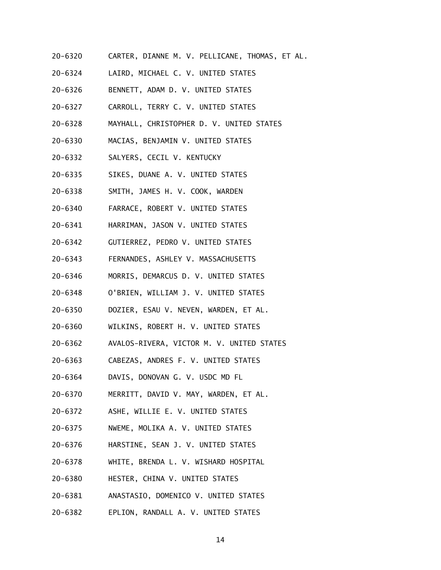- 20-6320 CARTER, DIANNE M. V. PELLICANE, THOMAS, ET AL.
- 20-6324 LAIRD, MICHAEL C. V. UNITED STATES
- 20-6326 BENNETT, ADAM D. V. UNITED STATES
- 20-6327 CARROLL, TERRY C. V. UNITED STATES
- 20-6328 MAYHALL, CHRISTOPHER D. V. UNITED STATES
- 20-6330 MACIAS, BENJAMIN V. UNITED STATES
- 20-6332 SALYERS, CECIL V. KENTUCKY
- 20-6335 SIKES, DUANE A. V. UNITED STATES
- 20-6338 SMITH, JAMES H. V. COOK, WARDEN
- 20-6340 FARRACE, ROBERT V. UNITED STATES
- 20-6341 HARRIMAN, JASON V. UNITED STATES
- 20-6342 GUTIERREZ, PEDRO V. UNITED STATES
- 20-6343 FERNANDES, ASHLEY V. MASSACHUSETTS
- 20-6346 MORRIS, DEMARCUS D. V. UNITED STATES
- 20-6348 O'BRIEN, WILLIAM J. V. UNITED STATES
- 20-6350 DOZIER, ESAU V. NEVEN, WARDEN, ET AL.
- 20-6360 WILKINS, ROBERT H. V. UNITED STATES
- 20-6362 AVALOS-RIVERA, VICTOR M. V. UNITED STATES
- 20-6363 CABEZAS, ANDRES F. V. UNITED STATES
- 20-6364 DAVIS, DONOVAN G. V. USDC MD FL
- 20-6370 MERRITT, DAVID V. MAY, WARDEN, ET AL.
- 20-6372 ASHE, WILLIE E. V. UNITED STATES
- $20 6375$ 20-6375 NWEME, MOLIKA A. V. UNITED STATES
- 20-6376 HARSTINE, SEAN J. V. UNITED STATES
- 20-6378 WHITE, BRENDA L. V. WISHARD HOSPITAL
- 20-6380 HESTER, CHINA V. UNITED STATES
- 20-6381 ANASTASIO, DOMENICO V. UNITED STATES
- 20-6382 EPLION, RANDALL A. V. UNITED STATES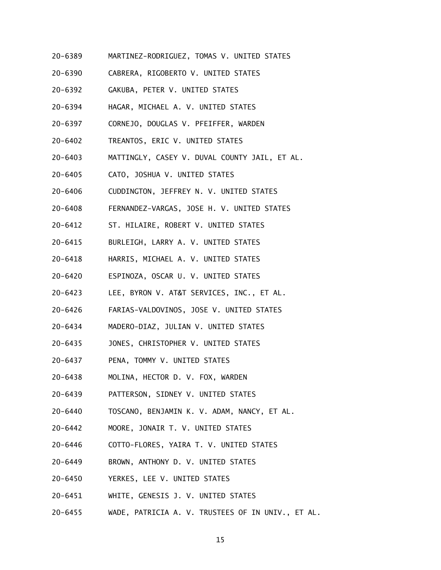- 20-6389 MARTINEZ-RODRIGUEZ, TOMAS V. UNITED STATES
- 20-6390 CABRERA, RIGOBERTO V. UNITED STATES
- 20-6392 GAKUBA, PETER V. UNITED STATES
- 20-6394 HAGAR, MICHAEL A. V. UNITED STATES
- 20-6397 20-6397 CORNEJO, DOUGLAS V. PFEIFFER, WARDEN
- 20-6402 TREANTOS, ERIC V. UNITED STATES
- 20-6403 MATTINGLY, CASEY V. DUVAL COUNTY JAIL, ET AL.
- 20-6405 CATO, JOSHUA V. UNITED STATES
- 20-6406 CUDDINGTON, JEFFREY N. V. UNITED STATES
- 20-6408 FERNANDEZ-VARGAS, JOSE H. V. UNITED STATES
- 20-6412 ST. HILAIRE, ROBERT V. UNITED STATES
- 20-6415 BURLEIGH, LARRY A. V. UNITED STATES
- 20-6418 HARRIS, MICHAEL A. V. UNITED STATES
- 20-6420 20-6420 ESPINOZA, OSCAR U. V. UNITED STATES
- $20 6423$ LEE, BYRON V. AT&T SERVICES, INC., ET AL.
- 20-6426 FARIAS-VALDOVINOS, JOSE V. UNITED STATES
- 20-6434 MADERO-DIAZ, JULIAN V. UNITED STATES
- 20-6435 JONES, CHRISTOPHER V. UNITED STATES
- 20-6437 PENA, TOMMY V. UNITED STATES
- 20-6438 MOLINA, HECTOR D. V. FOX, WARDEN
- 20-6439 PATTERSON, SIDNEY V. UNITED STATES
- 20-6440 TOSCANO, BENJAMIN K. V. ADAM, NANCY, ET AL.
- $20 6442$ 20-6442 MOORE, JONAIR T. V. UNITED STATES
- 20-6446 COTTO-FLORES, YAIRA T. V. UNITED STATES
- 20-6449 BROWN, ANTHONY D. V. UNITED STATES
- 20-6450 YERKES, LEE V. UNITED STATES
- 20-6451 WHITE, GENESIS J. V. UNITED STATES
- 20-6455 WADE, PATRICIA A. V. TRUSTEES OF IN UNIV., ET AL.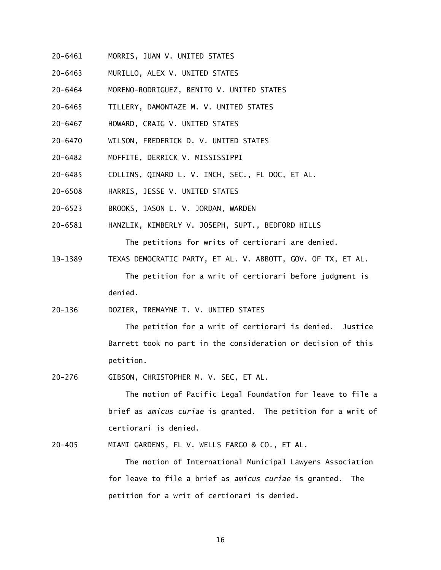- 20-6461 MORRIS, JUAN V. UNITED STATES
- 20-6463 MURILLO, ALEX V. UNITED STATES
- 20-6464 MORENO-RODRIGUEZ, BENITO V. UNITED STATES
- 20-6465 TILLERY, DAMONTAZE M. V. UNITED STATES
- 20-6467 HOWARD, CRAIG V. UNITED STATES
- 20-6470 WILSON, FREDERICK D. V. UNITED STATES
- 20-6482 MOFFITE, DERRICK V. MISSISSIPPI
- 20-6485 COLLINS, QINARD L. V. INCH, SEC., FL DOC, ET AL.
- 20-6508 HARRIS, JESSE V. UNITED STATES
- 20-6523 BROOKS, JASON L. V. JORDAN, WARDEN
- 20-6581 HANZLIK, KIMBERLY V. JOSEPH, SUPT., BEDFORD HILLS

The petitions for writs of certiorari are denied.

- 19-1389 TEXAS DEMOCRATIC PARTY, ET AL. V. ABBOTT, GOV. OF TX, ET AL. The petition for a writ of certiorari before judgment is denied.
- $20 136$ 20-136 DOZIER, TREMAYNE T. V. UNITED STATES

 The petition for a writ of certiorari is denied. Justice Barrett took no part in the consideration or decision of this petition.

 $20 - 276$ GIBSON, CHRISTOPHER M. V. SEC, ET AL.

> The motion of Pacific Legal Foundation for leave to file a brief as *amicus curiae* is granted. The petition for a writ of certiorari is denied.

 $20 - 405$ MIAMI GARDENS, FL V. WELLS FARGO & CO., ET AL.

> The motion of International Municipal Lawyers Association for leave to file a brief as *amicus curiae* is granted. The petition for a writ of certiorari is denied.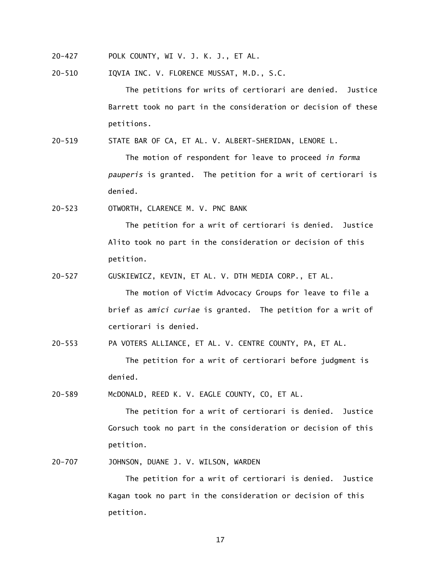- $20 427$ POLK COUNTY, WI V. J. K. J., ET AL.
- $20 510$ 20-510 IQVIA INC. V. FLORENCE MUSSAT, M.D., S.C.

 The petitions for writs of certiorari are denied. Justice Barrett took no part in the consideration or decision of these petitions.

 $20 - 519$ STATE BAR OF CA, ET AL. V. ALBERT-SHERIDAN, LENORE L.

> *pauperis* is granted. The petition for a writ of certiorari is The motion of respondent for leave to proceed *in forma* denied.

 $20 - 523$ OTWORTH, CLARENCE M. V. PNC BANK

> The petition for a writ of certiorari is denied. Justice Alito took no part in the consideration or decision of this petition.

 $20 - 527$ 20-527 GUSKIEWICZ, KEVIN, ET AL. V. DTH MEDIA CORP., ET AL.

> The motion of Victim Advocacy Groups for leave to file a brief as *amici curiae* is granted. The petition for a writ of certiorari is denied.

 $20 - 553$ PA VOTERS ALLIANCE, ET AL. V. CENTRE COUNTY, PA, ET AL.

> The petition for a writ of certiorari before judgment is denied.

 $20 - 589$ McDONALD, REED K. V. EAGLE COUNTY, CO, ET AL.

> The petition for a writ of certiorari is denied. Justice Gorsuch took no part in the consideration or decision of this petition.

 $20 - 707$ JOHNSON, DUANE J. V. WILSON, WARDEN

> The petition for a writ of certiorari is denied. Justice Kagan took no part in the consideration or decision of this petition.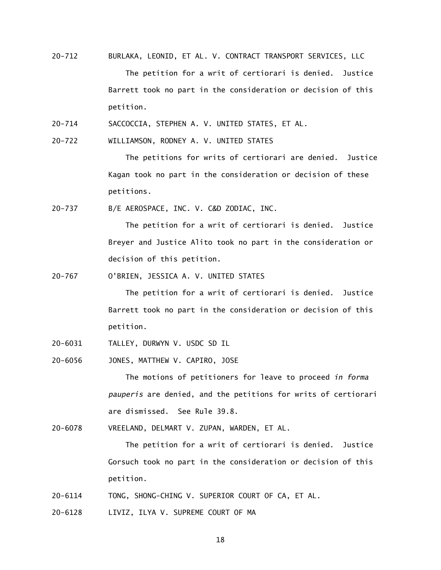- $20 712$ 20-712 BURLAKA, LEONID, ET AL. V. CONTRACT TRANSPORT SERVICES, LLC The petition for a writ of certiorari is denied. Justice Barrett took no part in the consideration or decision of this petition.
- $20 714$ SACCOCCIA, STEPHEN A. V. UNITED STATES, ET AL.
- $20 722$ WILLIAMSON, RODNEY A. V. UNITED STATES

 The petitions for writs of certiorari are denied. Justice Kagan took no part in the consideration or decision of these petitions.

 $20 - 737$ B/E AEROSPACE, INC. V. C&D ZODIAC, INC.

> The petition for a writ of certiorari is denied. Justice Breyer and Justice Alito took no part in the consideration or decision of this petition.

 $20 - 767$ 0'BRIEN, JESSICA A. V. UNITED STATES

> The petition for a writ of certiorari is denied. Justice Barrett took no part in the consideration or decision of this petition.

- 20-6031 TALLEY, DURWYN V. USDC SD IL
- 20-6056 JONES, MATTHEW V. CAPIRO, JOSE

 The motions of petitioners for leave to proceed *in forma pauperis* are denied, and the petitions for writs of certiorari are dismissed. See Rule 39.8.

20-6078 VREELAND, DELMART V. ZUPAN, WARDEN, ET AL.

 The petition for a writ of certiorari is denied. Justice Gorsuch took no part in the consideration or decision of this petition.

- 20-6114 TONG, SHONG-CHING V. SUPERIOR COURT OF CA, ET AL.
- 20-6128 LIVIZ, ILYA V. SUPREME COURT OF MA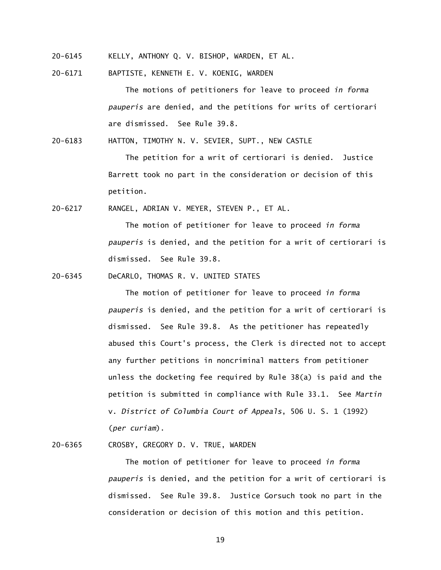- 20-6145 KELLY, ANTHONY Q. V. BISHOP, WARDEN, ET AL.
- 20-6171 BAPTISTE, KENNETH E. V. KOENIG, WARDEN

 The motions of petitioners for leave to proceed *in forma pauperis* are denied, and the petitions for writs of certiorari are dismissed. See Rule 39.8.

20-6183 HATTON, TIMOTHY N. V. SEVIER, SUPT., NEW CASTLE

 The petition for a writ of certiorari is denied. Justice Barrett took no part in the consideration or decision of this petition.

20-6217 RANGEL, ADRIAN V. MEYER, STEVEN P., ET AL.

 The motion of petitioner for leave to proceed *in forma pauperis* is denied, and the petition for a writ of certiorari is dismissed. See Rule 39.8.

20-6345 DeCARLO, THOMAS R. V. UNITED STATES

 The motion of petitioner for leave to proceed *in forma pauperis* is denied, and the petition for a writ of certiorari is dismissed. See Rule 39.8. As the petitioner has repeatedly abused this Court's process, the Clerk is directed not to accept any further petitions in noncriminal matters from petitioner unless the docketing fee required by Rule 38(a) is paid and the petition is submitted in compliance with Rule 33.1. See *Martin*  v. *District of Columbia Court of Appeals*, 506 U. S. 1 (1992) (*per curiam*).

20-6365 CROSBY, GREGORY D. V. TRUE, WARDEN

 The motion of petitioner for leave to proceed *in forma pauperis* is denied, and the petition for a writ of certiorari is dismissed. See Rule 39.8. Justice Gorsuch took no part in the consideration or decision of this motion and this petition.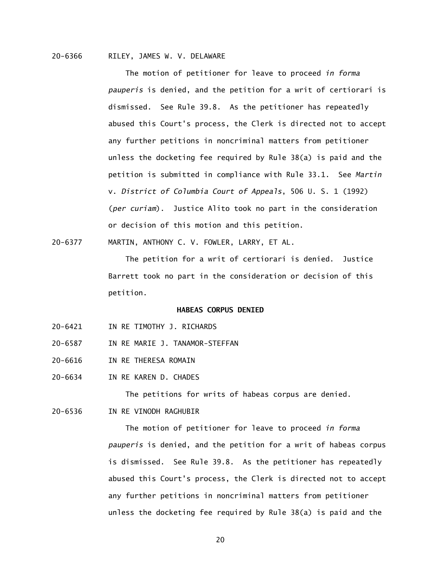## 20-6366 RILEY, JAMES W. V. DELAWARE

 The motion of petitioner for leave to proceed *in forma pauperis* is denied, and the petition for a writ of certiorari is dismissed. See Rule 39.8. As the petitioner has repeatedly abused this Court's process, the Clerk is directed not to accept any further petitions in noncriminal matters from petitioner unless the docketing fee required by Rule 38(a) is paid and the petition is submitted in compliance with Rule 33.1. See *Martin*  v. *District of Columbia Court of Appeals*, 506 U. S. 1 (1992) (*per curiam*). Justice Alito took no part in the consideration or decision of this motion and this petition.

20-6377 MARTIN, ANTHONY C. V. FOWLER, LARRY, ET AL.

 The petition for a writ of certiorari is denied. Justice Barrett took no part in the consideration or decision of this petition.

### **HABEAS CORPUS DENIED**

- 20-6421 IN RE TIMOTHY J. RICHARDS
- 20-6587 IN RE MARIE J. TANAMOR-STEFFAN
- 20-6616 IN RE THERESA ROMAIN
- 20-6634 IN RE KAREN D. CHADES

The petitions for writs of habeas corpus are denied.

20-6536 IN RE VINODH RAGHUBIR

 The motion of petitioner for leave to proceed *in forma pauperis* is denied, and the petition for a writ of habeas corpus is dismissed. See Rule 39.8. As the petitioner has repeatedly abused this Court's process, the Clerk is directed not to accept any further petitions in noncriminal matters from petitioner unless the docketing fee required by Rule 38(a) is paid and the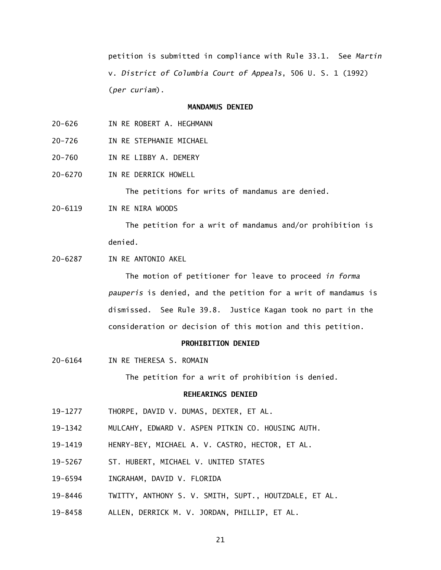petition is submitted in compliance with Rule 33.1. See *Martin*  v. *District of Columbia Court of Appeals*, 506 U. S. 1 (1992) (*per curiam*).

# **MANDAMUS DENIED**

- $20 626$ IN RE ROBERT A. HEGHMANN
- $20 726$ IN RE STEPHANIE MICHAEL
- $20 760$ IN RE LIBBY A. DEMERY
- 20-6270 IN RE DERRICK HOWELL

The petitions for writs of mandamus are denied.

20-6119 IN RE NIRA WOODS

 The petition for a writ of mandamus and/or prohibition is denied.

20-6287 IN RE ANTONIO AKEL

 The motion of petitioner for leave to proceed *in forma pauperis* is denied, and the petition for a writ of mandamus is dismissed. See Rule 39.8. Justice Kagan took no part in the consideration or decision of this motion and this petition.

### **PROHIBITION DENIED**

20-6164 IN RE THERESA S. ROMAIN

The petition for a writ of prohibition is denied.

# **REHEARINGS DENIED**

- 19-1277 THORPE, DAVID V. DUMAS, DEXTER, ET AL.
- 19-1342 MULCAHY, EDWARD V. ASPEN PITKIN CO. HOUSING AUTH.
- 19-1419 HENRY-BEY, MICHAEL A. V. CASTRO, HECTOR, ET AL.
- 19-5267 ST. HUBERT, MICHAEL V. UNITED STATES
- 19-6594 INGRAHAM, DAVID V. FLORIDA
- 19-8446 TWITTY, ANTHONY S. V. SMITH, SUPT., HOUTZDALE, ET AL.
- 19-8458 ALLEN, DERRICK M. V. JORDAN, PHILLIP, ET AL.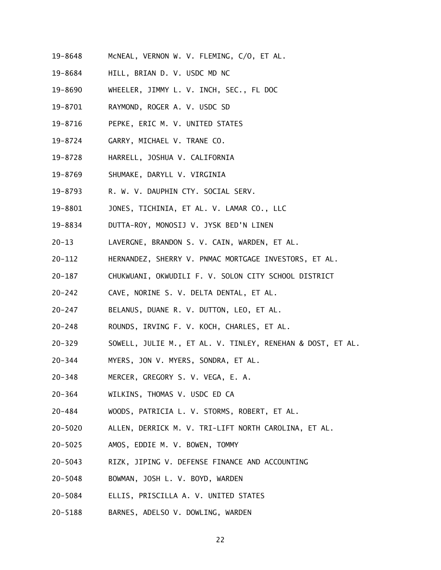- 19-8648 McNEAL, VERNON W. V. FLEMING, C/O, ET AL.
- 19-8684 HILL, BRIAN D. V. USDC MD NC
- 19-8690 WHEELER, JIMMY L. V. INCH, SEC., FL DOC
- 19-8701 RAYMOND, ROGER A. V. USDC SD
- 19-8716 PEPKE, ERIC M. V. UNITED STATES
- 19-8724 GARRY, MICHAEL V. TRANE CO.
- 19-8728 HARRELL, JOSHUA V. CALIFORNIA
- 19-8769 SHUMAKE, DARYLL V. VIRGINIA
- 19-8793 R. W. V. DAUPHIN CTY. SOCIAL SERV.
- 19-8801 JONES, TICHINIA, ET AL. V. LAMAR CO., LLC
- 19-8834 DUTTA-ROY, MONOSIJ V. JYSK BED'N LINEN
- $20 13$ LAVERGNE, BRANDON S. V. CAIN, WARDEN, ET AL.
- $20 112$ HERNANDEZ, SHERRY V. PNMAC MORTGAGE INVESTORS, ET AL.
- $20 187$ 20-187 CHUKWUANI, OKWUDILI F. V. SOLON CITY SCHOOL DISTRICT
- $20 242$ CAVE, NORINE S. V. DELTA DENTAL, ET AL.
- $20 247$ BELANUS, DUANE R. V. DUTTON, LEO, ET AL.
- $20 248$ ROUNDS, IRVING F. V. KOCH, CHARLES, ET AL.
- $20 329$ SOWELL, JULIE M., ET AL. V. TINLEY, RENEHAN & DOST, ET AL.
- $20 344$ MYERS, JON V. MYERS, SONDRA, ET AL.
- $20 348$ MERCER, GREGORY S. V. VEGA, E. A.
- $20 364$ WILKINS, THOMAS V. USDC ED CA
- $20 484$ 20-484 WOODS, PATRICIA L. V. STORMS, ROBERT, ET AL.
- 20-5020 ALLEN, DERRICK M. V. TRI-LIFT NORTH CAROLINA, ET AL.
- 20-5025 AMOS, EDDIE M. V. BOWEN, TOMMY
- 20-5043 RIZK, JIPING V. DEFENSE FINANCE AND ACCOUNTING
- 20-5048 BOWMAN, JOSH L. V. BOYD, WARDEN
- 20-5084 ELLIS, PRISCILLA A. V. UNITED STATES
- 20-5188 BARNES, ADELSO V. DOWLING, WARDEN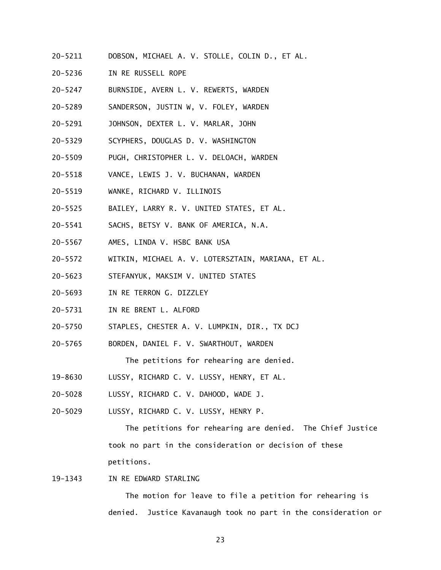- 20-5211 DOBSON, MICHAEL A. V. STOLLE, COLIN D., ET AL.
- 20-5236 IN RE RUSSELL ROPE
- 20-5247 BURNSIDE, AVERN L. V. REWERTS, WARDEN
- 20-5289 SANDERSON, JUSTIN W, V. FOLEY, WARDEN
- 20-5291 JOHNSON, DEXTER L. V. MARLAR, JOHN
- 20-5329 SCYPHERS, DOUGLAS D. V. WASHINGTON
- 20-5509 PUGH, CHRISTOPHER L. V. DELOACH, WARDEN
- 20-5518 VANCE, LEWIS J. V. BUCHANAN, WARDEN
- 20-5519 WANKE, RICHARD V. ILLINOIS
- 20-5525 BAILEY, LARRY R. V. UNITED STATES, ET AL.
- $20 5541$ SACHS, BETSY V. BANK OF AMERICA, N.A.
- 20-5567 AMES, LINDA V. HSBC BANK USA
- 20-5572 WITKIN, MICHAEL A. V. LOTERSZTAIN, MARIANA, ET AL.
- 20-5623 STEFANYUK, MAKSIM V. UNITED STATES
- $20 5693$ IN RE TERRON G. DIZZLEY
- 20-5731 IN RE BRENT L. ALFORD
- 20-5750 STAPLES, CHESTER A. V. LUMPKIN, DIR., TX DCJ
- 20-5765 BORDEN, DANIEL F. V. SWARTHOUT, WARDEN The petitions for rehearing are denied.
- 19-8630 LUSSY, RICHARD C. V. LUSSY, HENRY, ET AL.
- 20-5028 LUSSY, RICHARD C. V. DAHOOD, WADE J.
- 20-5029 LUSSY, RICHARD C. V. LUSSY, HENRY P.

 The petitions for rehearing are denied. The Chief Justice took no part in the consideration or decision of these petitions.

19-1343 IN RE EDWARD STARLING

The motion for leave to file a petition for rehearing is denied. Justice Kavanaugh took no part in the consideration or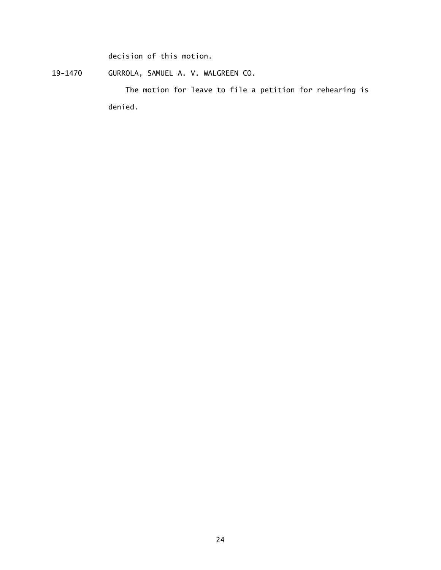decision of this motion.

19-1470 GURROLA, SAMUEL A. V. WALGREEN CO.

The motion for leave to file a petition for rehearing is denied.